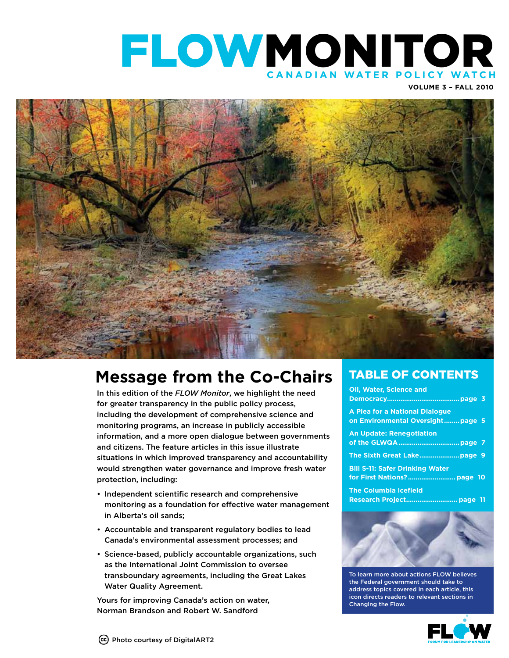

**Volume 3 – FALL 2010**



### **Message from the Co-Chairs**

In this edition of the *FLOW Monitor*, we highlight the need for greater transparency in the public policy process, including the development of comprehensive science and monitoring programs, an increase in publicly accessible information, and a more open dialogue between governments and citizens. The feature articles in this issue illustrate situations in which improved transparency and accountability would strengthen water governance and improve fresh water protection, including:

- Independent scientific research and comprehensive monitoring as a foundation for effective water management in Alberta's oil sands;
- Accountable and transparent regulatory bodies to lead Canada's environmental assessment processes; and
- Science-based, publicly accountable organizations, such as the International Joint Commission to oversee transboundary agreements, including the Great Lakes Water Quality Agreement.

Yours for improving Canada's action on water, Norman Brandson and Robert W. Sandford

### TABLE OF CONTENTS

| Oil, Water, Science and                                             |
|---------------------------------------------------------------------|
| A Plea for a National Dialogue<br>on Environmental Oversight page 5 |
| <b>An Update: Renegotiation</b>                                     |
|                                                                     |
| <b>Bill S-11: Safer Drinking Water</b>                              |
| <b>The Columbia Icefield</b>                                        |



To learn more about actions FLOW believes the Federal government should take to address topics covered in each article, this icon directs readers to relevant sections in Changing the Flow.

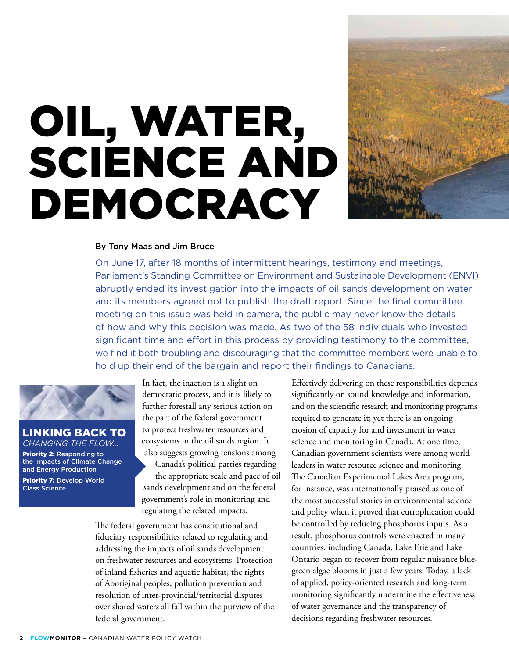## Oil, Water, Science And Democracy



### By Tony Maas and Jim Bruce

On June 17, after 18 months of intermittent hearings, testimony and meetings, Parliament's Standing Committee on Environment and Sustainable Development (ENVI) abruptly ended its investigation into the impacts of oil sands development on water and its members agreed not to publish the draft report. Since the final committee meeting on this issue was held in camera, the public may never know the details of how and why this decision was made. As two of the 58 individuals who invested significant time and effort in this process by providing testimony to the committee, we find it both troubling and discouraging that the committee members were unable to hold up their end of the bargain and report their findings to Canadians.



### Linking back to *Changing the Flow...*

Priority 2: Responding to the Impacts of Climate Change and Energy Production

Priority 7: Develop World Class Science

In fact, the inaction is a slight on democratic process, and it is likely to further forestall any serious action on the part of the federal government to protect freshwater resources and ecosystems in the oil sands region. It also suggests growing tensions among

Canada's political parties regarding the appropriate scale and pace of oil sands development and on the federal government's role in monitoring and regulating the related impacts.

The federal government has constitutional and fiduciary responsibilities related to regulating and addressing the impacts of oil sands development on freshwater resources and ecosystems. Protection of inland fisheries and aquatic habitat, the rights of Aboriginal peoples, pollution prevention and resolution of inter-provincial/territorial disputes over shared waters all fall within the purview of the federal government.

Effectively delivering on these responsibilities depends significantly on sound knowledge and information, and on the scientific research and monitoring programs required to generate it; yet there is an ongoing erosion of capacity for and investment in water science and monitoring in Canada. At one time, Canadian government scientists were among world leaders in water resource science and monitoring. The Canadian Experimental Lakes Area program, for instance, was internationally praised as one of the most successful stories in environmental science and policy when it proved that eutrophication could be controlled by reducing phosphorus inputs. As a result, phosphorus controls were enacted in many countries, including Canada. Lake Erie and Lake Ontario began to recover from regular nuisance bluegreen algae blooms in just a few years. Today, a lack of applied, policy-oriented research and long-term monitoring significantly undermine the effectiveness of water governance and the transparency of decisions regarding freshwater resources.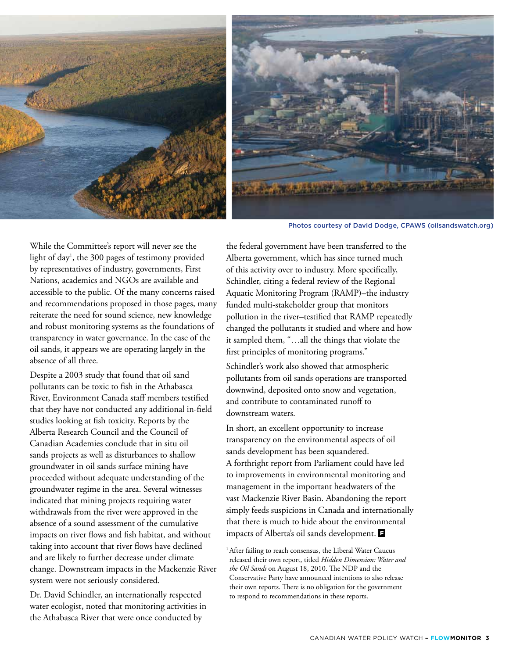



Photos courtesy of David Dodge, CPAWS (oilsandswatch.org)

While the Committee's report will never see the light of day1 , the 300 pages of testimony provided by representatives of industry, governments, First Nations, academics and NGOs are available and accessible to the public. Of the many concerns raised and recommendations proposed in those pages, many reiterate the need for sound science, new knowledge and robust monitoring systems as the foundations of transparency in water governance. In the case of the oil sands, it appears we are operating largely in the absence of all three.

Despite a 2003 study that found that oil sand pollutants can be toxic to fish in the Athabasca River, Environment Canada staff members testified that they have not conducted any additional in-field studies looking at fish toxicity. Reports by the Alberta Research Council and the Council of Canadian Academies conclude that in situ oil sands projects as well as disturbances to shallow groundwater in oil sands surface mining have proceeded without adequate understanding of the groundwater regime in the area. Several witnesses indicated that mining projects requiring water withdrawals from the river were approved in the absence of a sound assessment of the cumulative impacts on river flows and fish habitat, and without taking into account that river flows have declined and are likely to further decrease under climate change. Downstream impacts in the Mackenzie River system were not seriously considered.

Dr. David Schindler, an internationally respected water ecologist, noted that monitoring activities in the Athabasca River that were once conducted by

the federal government have been transferred to the Alberta government, which has since turned much of this activity over to industry. More specifically, Schindler, citing a federal review of the Regional Aquatic Monitoring Program (RAMP)–the industry funded multi-stakeholder group that monitors pollution in the river–testified that RAMP repeatedly changed the pollutants it studied and where and how it sampled them, "…all the things that violate the first principles of monitoring programs."

Schindler's work also showed that atmospheric pollutants from oil sands operations are transported downwind, deposited onto snow and vegetation, and contribute to contaminated runoff to downstream waters.

In short, an excellent opportunity to increase transparency on the environmental aspects of oil sands development has been squandered. A forthright report from Parliament could have led to improvements in environmental monitoring and management in the important headwaters of the vast Mackenzie River Basin. Abandoning the report simply feeds suspicions in Canada and internationally that there is much to hide about the environmental impacts of Alberta's oil sands development.

<sup>&</sup>lt;sup>1</sup> After failing to reach consensus, the Liberal Water Caucus released their own report, titled *Hidden Dimension: Water and the Oil Sands* on August 18, 2010. The NDP and the Conservative Party have announced intentions to also release their own reports. There is no obligation for the government to respond to recommendations in these reports.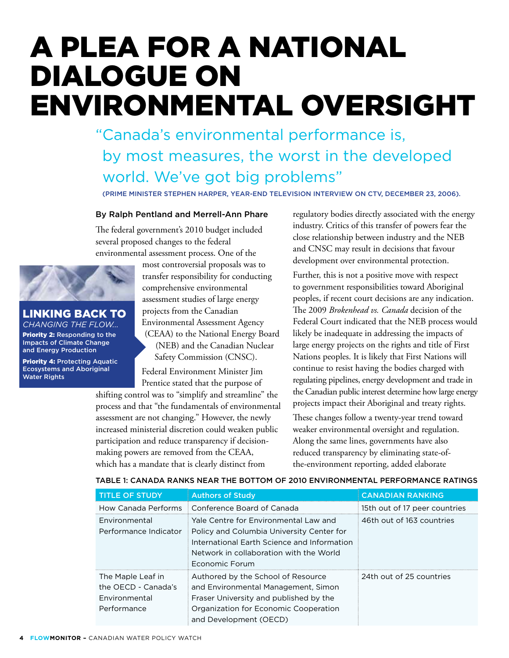### A Plea for a National Dialogue on Environmental Oversight

"Canada's environmental performance is, by most measures, the worst in the developed world. We've got big problems"

(Prime Minister StePHen Harper, Year-End Television Interview on CTV, December 23, 2006).

### By Ralph Pentland and Merrell-Ann Phare

The federal government's 2010 budget included several proposed changes to the federal environmental assessment process. One of the



### **KING BACK TO** *Changing the Flow...*

Priority 2: Responding to the Impacts of Climate Change and Energy Production

Priority 4: Protecting Aquatic Ecosystems and Aboriginal Water Rights

most controversial proposals was to transfer responsibility for conducting comprehensive environmental assessment studies of large energy projects from the Canadian Environmental Assessment Agency (CEAA) to the National Energy Board (NEB) and the Canadian Nuclear Safety Commission (CNSC).

Federal Environment Minister Jim Prentice stated that the purpose of

shifting control was to "simplify and streamline" the process and that "the fundamentals of environmental assessment are not changing." However, the newly increased ministerial discretion could weaken public participation and reduce transparency if decisionmaking powers are removed from the CEAA, which has a mandate that is clearly distinct from

regulatory bodies directly associated with the energy industry. Critics of this transfer of powers fear the close relationship between industry and the NEB and CNSC may result in decisions that favour development over environmental protection.

Further, this is not a positive move with respect to government responsibilities toward Aboriginal peoples, if recent court decisions are any indication. The 2009 *Brokenhead vs. Canada* decision of the Federal Court indicated that the NEB process would likely be inadequate in addressing the impacts of large energy projects on the rights and title of First Nations peoples. It is likely that First Nations will continue to resist having the bodies charged with regulating pipelines, energy development and trade in the Canadian public interest determine how large energy projects impact their Aboriginal and treaty rights.

These changes follow a twenty-year trend toward weaker environmental oversight and regulation. Along the same lines, governments have also reduced transparency by eliminating state-ofthe-environment reporting, added elaborate

|  | TABLE 1: CANADA RANKS NEAR THE BOTTOM OF 2010 ENVIRONMENTAL PERFORMANCE RATINGS |  |
|--|---------------------------------------------------------------------------------|--|
|  |                                                                                 |  |

| <b>TITLE OF STUDY</b>                                                           | <b>Authors of Study</b>                                                                                                                                                                        | <b>CANADIAN RANKING</b>       |
|---------------------------------------------------------------------------------|------------------------------------------------------------------------------------------------------------------------------------------------------------------------------------------------|-------------------------------|
| How Canada Performs                                                             | Conference Board of Canada                                                                                                                                                                     | 15th out of 17 peer countries |
| Environmental<br>Performance Indicator                                          | Yale Centre for Environmental Law and<br>Policy and Columbia University Center for<br>International Earth Science and Information<br>Network in collaboration with the World<br>Economic Forum | 46th out of 163 countries     |
| The Maple Leaf in<br>the OFCD - Canada's<br><b>Environmental</b><br>Performance | Authored by the School of Resource<br>and Environmental Management, Simon<br>Fraser University and published by the<br>Organization for Economic Cooperation<br>and Development (OECD)         | 24th out of 25 countries      |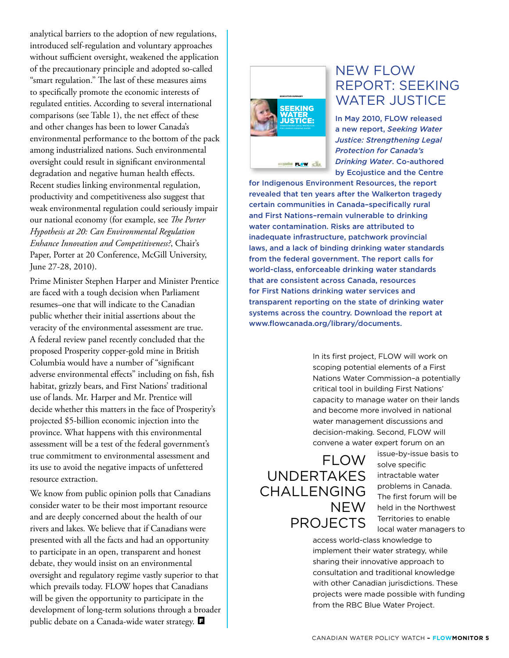analytical barriers to the adoption of new regulations, introduced self-regulation and voluntary approaches without sufficient oversight, weakened the application of the precautionary principle and adopted so-called "smart regulation." The last of these measures aims to specifically promote the economic interests of regulated entities. According to several international comparisons (see Table 1), the net effect of these and other changes has been to lower Canada's environmental performance to the bottom of the pack among industrialized nations. Such environmental oversight could result in significant environmental degradation and negative human health effects. Recent studies linking environmental regulation, productivity and competitiveness also suggest that weak environmental regulation could seriously impair our national economy (for example, see *The Porter Hypothesis at 20: Can Environmental Regulation Enhance Innovation and Competitiveness?*, Chair's Paper, Porter at 20 Conference, McGill University, June 27-28, 2010).

Prime Minister Stephen Harper and Minister Prentice are faced with a tough decision when Parliament resumes–one that will indicate to the Canadian public whether their initial assertions about the veracity of the environmental assessment are true. A federal review panel recently concluded that the proposed Prosperity copper-gold mine in British Columbia would have a number of "significant adverse environmental effects" including on fish, fish habitat, grizzly bears, and First Nations' traditional use of lands. Mr. Harper and Mr. Prentice will decide whether this matters in the face of Prosperity's projected \$5-billion economic injection into the province. What happens with this environmental assessment will be a test of the federal government's true commitment to environmental assessment and its use to avoid the negative impacts of unfettered resource extraction.

We know from public opinion polls that Canadians consider water to be their most important resource and are deeply concerned about the health of our rivers and lakes. We believe that if Canadians were presented with all the facts and had an opportunity to participate in an open, transparent and honest debate, they would insist on an environmental oversight and regulatory regime vastly superior to that which prevails today. FLOW hopes that Canadians will be given the opportunity to participate in the development of long-term solutions through a broader public debate on a Canada-wide water strategy.



### NEW FLOW REPORT: SEEKING WATER JUSTICE

In May 2010, FLOW released a new report, *Seeking Water Justice: Strengthening Legal Protection for Canada's Drinking Water*. Co-authored by Ecojustice and the Centre

for Indigenous Environment Resources, the report revealed that ten years after the Walkerton tragedy certain communities in Canada–specifically rural and First Nations–remain vulnerable to drinking water contamination. Risks are attributed to inadequate infrastructure, patchwork provincial laws, and a lack of binding drinking water standards from the federal government. The report calls for world-class, enforceable drinking water standards that are consistent across Canada, resources for First Nations drinking water services and transparent reporting on the state of drinking water systems across the country. Download the report at www.flowcanada.org/library/documents.

> In its first project, FLOW will work on scoping potential elements of a First Nations Water Commission–a potentially critical tool in building First Nations' capacity to manage water on their lands and become more involved in national water management discussions and decision-making. Second, FLOW will convene a water expert forum on an

### FLOW UNDERTAKES CHALLENGING NEW PROJECTS

issue-by-issue basis to solve specific intractable water problems in Canada. The first forum will be held in the Northwest Territories to enable local water managers to

access world-class knowledge to implement their water strategy, while sharing their innovative approach to consultation and traditional knowledge with other Canadian jurisdictions. These projects were made possible with funding from the RBC Blue Water Project.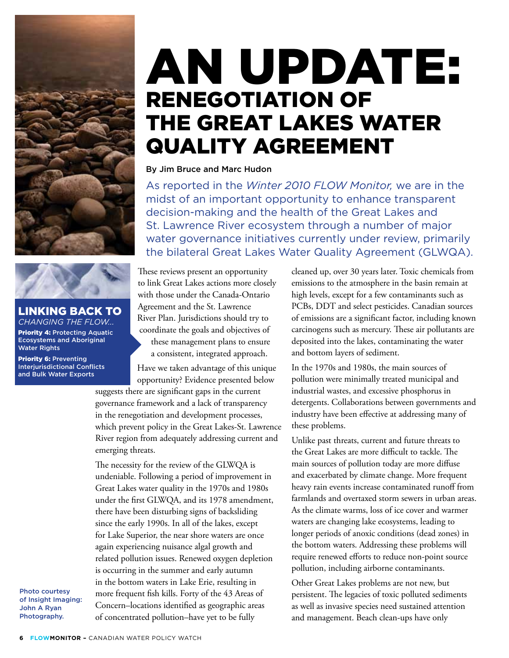

Linking back to *Changing the Flow...*  Priority 4: Protecting Aquatic Ecosystems and Aboriginal Water Rights

Priority 6: Preventing Interjurisdictional Conflicts and Bulk Water Exports

### An Update: Renegotiation of the Great Lakes Water Quality Agreement

### By Jim Bruce and Marc Hudon

As reported in the *Winter 2010 FLOW Monitor,* we are in the midst of an important opportunity to enhance transparent decision-making and the health of the Great Lakes and St. Lawrence River ecosystem through a number of major water governance initiatives currently under review, primarily the bilateral Great Lakes Water Quality Agreement (GLWQA).

These reviews present an opportunity to link Great Lakes actions more closely with those under the Canada-Ontario Agreement and the St. Lawrence River Plan. Jurisdictions should try to coordinate the goals and objectives of these management plans to ensure a consistent, integrated approach.

Have we taken advantage of this unique opportunity? Evidence presented below suggests there are significant gaps in the current

governance framework and a lack of transparency in the renegotiation and development processes, which prevent policy in the Great Lakes-St. Lawrence River region from adequately addressing current and emerging threats.

The necessity for the review of the GLWQA is undeniable. Following a period of improvement in Great Lakes water quality in the 1970s and 1980s under the first GLWQA, and its 1978 amendment, there have been disturbing signs of backsliding since the early 1990s. In all of the lakes, except for Lake Superior, the near shore waters are once again experiencing nuisance algal growth and related pollution issues. Renewed oxygen depletion is occurring in the summer and early autumn in the bottom waters in Lake Erie, resulting in more frequent fish kills. Forty of the 43 Areas of Concern–locations identified as geographic areas of concentrated pollution–have yet to be fully

Photo courtesy of Insight Imaging: John A Ryan Photography.

cleaned up, over 30 years later. Toxic chemicals from emissions to the atmosphere in the basin remain at high levels, except for a few contaminants such as PCBs, DDT and select pesticides. Canadian sources of emissions are a significant factor, including known carcinogens such as mercury. These air pollutants are deposited into the lakes, contaminating the water and bottom layers of sediment.

In the 1970s and 1980s, the main sources of pollution were minimally treated municipal and industrial wastes, and excessive phosphorus in detergents. Collaborations between governments and industry have been effective at addressing many of these problems.

Unlike past threats, current and future threats to the Great Lakes are more difficult to tackle. The main sources of pollution today are more diffuse and exacerbated by climate change. More frequent heavy rain events increase contaminated runoff from farmlands and overtaxed storm sewers in urban areas. As the climate warms, loss of ice cover and warmer waters are changing lake ecosystems, leading to longer periods of anoxic conditions (dead zones) in the bottom waters. Addressing these problems will require renewed efforts to reduce non-point source pollution, including airborne contaminants.

Other Great Lakes problems are not new, but persistent. The legacies of toxic polluted sediments as well as invasive species need sustained attention and management. Beach clean-ups have only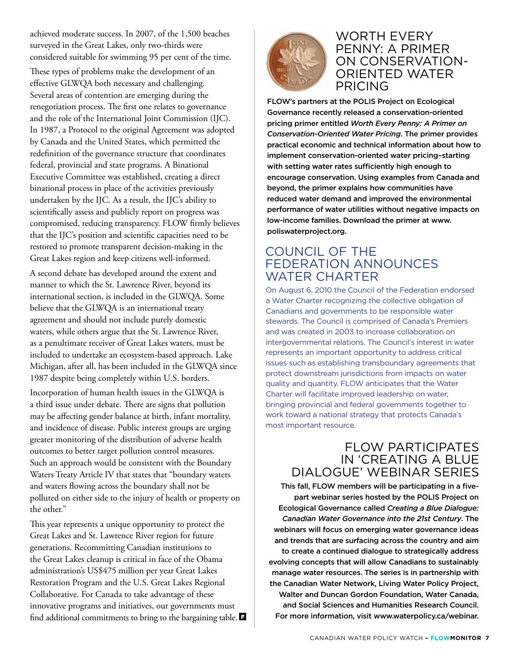achieved moderate success. In 2007, of the 1,500 beaches surveyed in the Great Lakes, only two-thirds were considered suitable for swimming 95 per cent of the time.

These types of problems make the development of an effective GLWQA both necessary and challenging. Several areas of contention are emerging during the renegotiation process. The first one relates to governance and the role of the International Joint Commission (IJC). In 1987, a Protocol to the original Agreement was adopted by Canada and the United States, which permitted the redefinition of the governance structure that coordinates federal, provincial and state programs. A Binational Executive Committee was established, creating a direct binational process in place of the activities previously undertaken by the IJC. As a result, the IJC's ability to scientifically assess and publicly report on progress was compromised, reducing transparency. FLOW firmly believes that the IJC's position and scientific capacities need to be restored to promote transparent decision-making in the Great Lakes region and keep citizens well-informed.

A second debate has developed around the extent and manner to which the St. Lawrence River, beyond its international section, is included in the GLWQA. Some believe that the GLWQA is an international treaty agreement and should not include purely domestic waters, while others argue that the St. Lawrence River, as a penultimate receiver of Great Lakes waters, must be included to undertake an ecosystem-based approach. Lake Michigan, after all, has been included in the GLWQA since 1987 despite being completely within U.S. borders.

Incorporation of human health issues in the GLWQA is a third issue under debate. There are signs that pollution may be affecting gender balance at birth, infant mortality, and incidence of disease. Public interest groups are urging greater monitoring of the distribution of adverse health outcomes to better target pollution control measures. Such an approach would be consistent with the Boundary Waters Treaty Article IV that states that "boundary waters and waters flowing across the boundary shall not be polluted on either side to the injury of health or property on the other."

This year represents a unique opportunity to protect the Great Lakes and St. Lawrence River region for future generations. Recommitting Canadian institutions to the Great Lakes cleanup is critical in face of the Obama administration's US\$475 million per year Great Lakes Restoration Program and the U.S. Great Lakes Regional Collaborative. For Canada to take advantage of these innovative programs and initiatives, our governments must find additional commitments to bring to the bargaining table.



### WORTH EVERY PENNY: A PRIMER ON CONSERVATION-ORIENTED WATER PRICING

FLOW's partners at the POLIS Project on Ecological Governance recently released a conservation-oriented pricing primer entitled *Worth Every Penny: A Primer on Conservation-Oriented Water Pricing*. The primer provides practical economic and technical information about how to implement conservation-oriented water pricing–starting with setting water rates sufficiently high enough to encourage conservation. Using examples from Canada and beyond, the primer explains how communities have reduced water demand and improved the environmental performance of water utilities without negative impacts on low-income families. Download the primer at www. poliswaterproject.org.

### COUNCIL OF THE FEDERATION ANNOUNCES WATER CHARTER

On August 6, 2010 the Council of the Federation endorsed a Water Charter recognizing the collective obligation of Canadians and governments to be responsible water stewards. The Council is comprised of Canada's Premiers and was created in 2003 to increase collaboration on intergovernmental relations. The Council's interest in water represents an important opportunity to address critical issues such as establishing transboundary agreements that protect downstream jurisdictions from impacts on water quality and quantity. FLOW anticipates that the Water Charter will facilitate improved leadership on water, bringing provincial and federal governments together to work toward a national strategy that protects Canada's most important resource.

### FLOW PARTICIPATES IN 'CREATING A BLUE DIALOGUE' WEBINAR SERIES

This fall, FLOW members will be participating in a fivepart webinar series hosted by the POLIS Project on Ecological Governance called *Creating a Blue Dialogue: Canadian Water Governance into the 21st Century*. The webinars will focus on emerging water governance ideas and trends that are surfacing across the country and aim to create a continued dialogue to strategically address evolving concepts that will allow Canadians to sustainably manage water resources. The series is in partnership with the Canadian Water Network, Living Water Policy Project, Walter and Duncan Gordon Foundation, Water Canada, and Social Sciences and Humanities Research Council. For more information, visit www.waterpolicy.ca/webinar.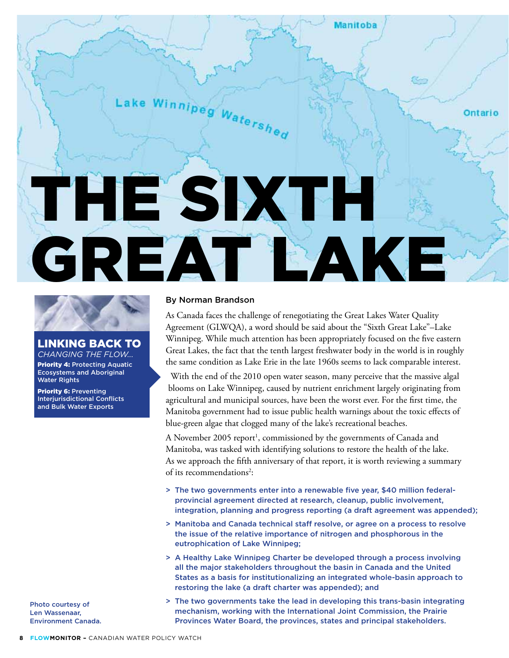# Lake Winnipeg  $w_{a t e_{rs}}$ Ontario THE SIXTH GREAT LAKE



### Linking back to *Changing the Flow...*

Priority 4: Protecting Aquatic Ecosystems and Aboriginal Water Rights

Priority 6: Preventing Interjurisdictional Conflicts and Bulk Water Exports

By Norman Brandson

As Canada faces the challenge of renegotiating the Great Lakes Water Quality Agreement (GLWQA), a word should be said about the "Sixth Great Lake"–Lake Winnipeg. While much attention has been appropriately focused on the five eastern Great Lakes, the fact that the tenth largest freshwater body in the world is in roughly the same condition as Lake Erie in the late 1960s seems to lack comparable interest.

**Manitoba** 

With the end of the 2010 open water season, many perceive that the massive algal blooms on Lake Winnipeg, caused by nutrient enrichment largely originating from agricultural and municipal sources, have been the worst ever. For the first time, the Manitoba government had to issue public health warnings about the toxic effects of blue-green algae that clogged many of the lake's recreational beaches.

A November 2005 report<sup>1</sup>, commissioned by the governments of Canada and Manitoba, was tasked with identifying solutions to restore the health of the lake. As we approach the fifth anniversary of that report, it is worth reviewing a summary of its recommendations<sup>2</sup>:

- > The two governments enter into a renewable five year, \$40 million federalprovincial agreement directed at research, cleanup, public involvement, integration, planning and progress reporting (a draft agreement was appended);
- > Manitoba and Canada technical staff resolve, or agree on a process to resolve the issue of the relative importance of nitrogen and phosphorous in the eutrophication of Lake Winnipeg;
- > A Healthy Lake Winnipeg Charter be developed through a process involving all the major stakeholders throughout the basin in Canada and the United States as a basis for institutionalizing an integrated whole-basin approach to restoring the lake (a draft charter was appended); and
- > The two governments take the lead in developing this trans-basin integrating mechanism, working with the International Joint Commission, the Prairie Provinces Water Board, the provinces, states and principal stakeholders.

Photo courtesy of Len Wassenaar, Environment Canada.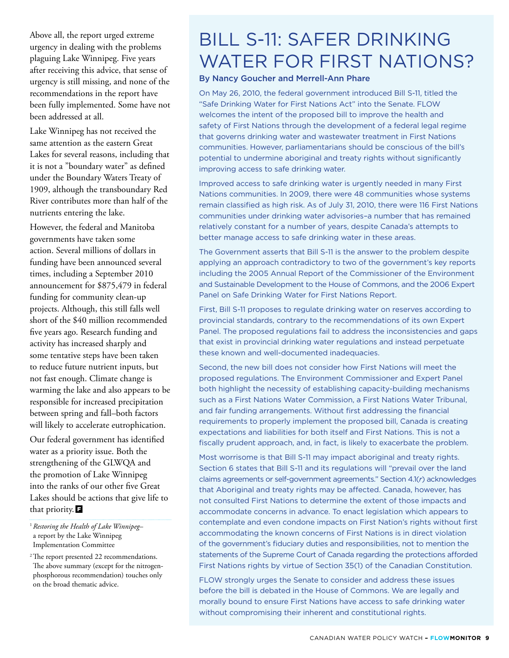Above all, the report urged extreme urgency in dealing with the problems plaguing Lake Winnipeg. Five years after receiving this advice, that sense of urgency is still missing, and none of the recommendations in the report have been fully implemented. Some have not been addressed at all.

Lake Winnipeg has not received the same attention as the eastern Great Lakes for several reasons, including that it is not a "boundary water" as defined under the Boundary Waters Treaty of 1909, although the transboundary Red River contributes more than half of the nutrients entering the lake.

However, the federal and Manitoba governments have taken some action. Several millions of dollars in funding have been announced several times, including a September 2010 announcement for \$875,479 in federal funding for community clean-up projects. Although, this still falls well short of the \$40 million recommended five years ago. Research funding and activity has increased sharply and some tentative steps have been taken to reduce future nutrient inputs, but not fast enough. Climate change is warming the lake and also appears to be responsible for increased precipitation between spring and fall–both factors will likely to accelerate eutrophication.

Our federal government has identified water as a priority issue. Both the strengthening of the GLWQA and the promotion of Lake Winnipeg into the ranks of our other five Great Lakes should be actions that give life to that priority.  $\blacksquare$ 

<sup>1</sup>*Restoring the Health of Lake Winnipeg*– a report by the Lake Winnipeg Implementation Committee

<sup>2</sup>The report presented 22 recommendations. The above summary (except for the nitrogenphosphorous recommendation) touches only on the broad thematic advice.

### Bill S-11: Safer drinking WATER FOR FIRST NATIONS?

### By Nancy Goucher and Merrell-Ann Phare

On May 26, 2010, the federal government introduced Bill S-11, titled the "Safe Drinking Water for First Nations Act" into the Senate. FLOW welcomes the intent of the proposed bill to improve the health and safety of First Nations through the development of a federal legal regime that governs drinking water and wastewater treatment in First Nations communities. However, parliamentarians should be conscious of the bill's potential to undermine aboriginal and treaty rights without significantly improving access to safe drinking water.

Improved access to safe drinking water is urgently needed in many First Nations communities. In 2009, there were 48 communities whose systems remain classified as high risk. As of July 31, 2010, there were 116 First Nations communities under drinking water advisories–a number that has remained relatively constant for a number of years, despite Canada's attempts to better manage access to safe drinking water in these areas.

The Government asserts that Bill S-11 is the answer to the problem despite applying an approach contradictory to two of the government's key reports including the 2005 Annual Report of the Commissioner of the Environment and Sustainable Development to the House of Commons, and the 2006 Expert Panel on Safe Drinking Water for First Nations Report.

First, Bill S-11 proposes to regulate drinking water on reserves according to provincial standards, contrary to the recommendations of its own Expert Panel. The proposed regulations fail to address the inconsistencies and gaps that exist in provincial drinking water regulations and instead perpetuate these known and well-documented inadequacies.

Second, the new bill does not consider how First Nations will meet the proposed regulations. The Environment Commissioner and Expert Panel both highlight the necessity of establishing capacity-building mechanisms such as a First Nations Water Commission, a First Nations Water Tribunal, and fair funding arrangements. Without first addressing the financial requirements to properly implement the proposed bill, Canada is creating expectations and liabilities for both itself and First Nations. This is not a fiscally prudent approach, and, in fact, is likely to exacerbate the problem.

Most worrisome is that Bill S-11 may impact aboriginal and treaty rights. Section 6 states that Bill S-11 and its regulations will "prevail over the land claims agreements or self-government agreements." Section 4.1(*r*) acknowledges that Aboriginal and treaty rights may be affected. Canada, however, has not consulted First Nations to determine the extent of those impacts and accommodate concerns in advance. To enact legislation which appears to contemplate and even condone impacts on First Nation's rights without first accommodating the known concerns of First Nations is in direct violation of the government's fiduciary duties and responsibilities, not to mention the statements of the Supreme Court of Canada regarding the protections afforded First Nations rights by virtue of Section 35(1) of the Canadian Constitution.

FLOW strongly urges the Senate to consider and address these issues before the bill is debated in the House of Commons. We are legally and morally bound to ensure First Nations have access to safe drinking water without compromising their inherent and constitutional rights.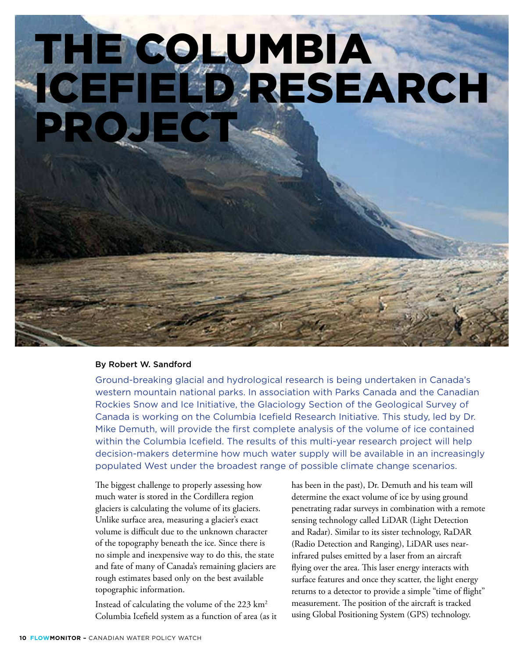# THE COLUMBI ICEFIELD RESEARCH PROJEC

### By Robert W. Sandford

Ground-breaking glacial and hydrological research is being undertaken in Canada's western mountain national parks. In association with Parks Canada and the Canadian Rockies Snow and Ice Initiative, the Glaciology Section of the Geological Survey of Canada is working on the Columbia Icefield Research Initiative. This study, led by Dr. Mike Demuth, will provide the first complete analysis of the volume of ice contained within the Columbia Icefield. The results of this multi-year research project will help decision-makers determine how much water supply will be available in an increasingly populated West under the broadest range of possible climate change scenarios.

The biggest challenge to properly assessing how much water is stored in the Cordillera region glaciers is calculating the volume of its glaciers. Unlike surface area, measuring a glacier's exact volume is difficult due to the unknown character of the topography beneath the ice. Since there is no simple and inexpensive way to do this, the state and fate of many of Canada's remaining glaciers are rough estimates based only on the best available topographic information.

Instead of calculating the volume of the 223 km2 Columbia Icefield system as a function of area (as it has been in the past), Dr. Demuth and his team will determine the exact volume of ice by using ground penetrating radar surveys in combination with a remote sensing technology called LiDAR (Light Detection and Radar). Similar to its sister technology, RaDAR (Radio Detection and Ranging), LiDAR uses nearinfrared pulses emitted by a laser from an aircraft flying over the area. This laser energy interacts with surface features and once they scatter, the light energy returns to a detector to provide a simple "time of flight" measurement. The position of the aircraft is tracked using Global Positioning System (GPS) technology.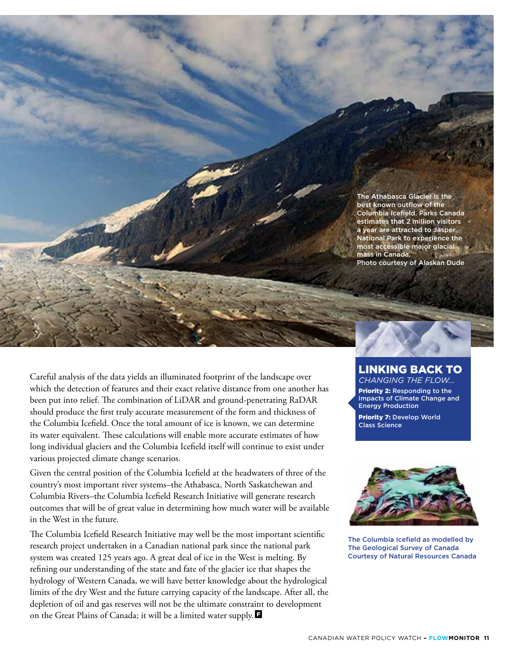The Athabasca Glacier is the best known outflow of the Columbia Icefield. Parks Canada estimates that 2 million visitors a year are attracted to Jasper National Park to experience the most accessible major glacial mass in Canada. Photo courtesy of Alaskan Dude

Careful analysis of the data yields an illuminated footprint of the landscape over which the detection of features and their exact relative distance from one another has been put into relief. The combination of LiDAR and ground-penetrating RaDAR should produce the first truly accurate measurement of the form and thickness of the Columbia Icefield. Once the total amount of ice is known, we can determine its water equivalent. These calculations will enable more accurate estimates of how long individual glaciers and the Columbia Icefield itself will continue to exist under various projected climate change scenarios.

Given the central position of the Columbia Icefield at the headwaters of three of the country's most important river systems–the Athabasca, North Saskatchewan and Columbia Rivers–the Columbia Icefield Research Initiative will generate research outcomes that will be of great value in determining how much water will be available in the West in the future.

The Columbia Icefield Research Initiative may well be the most important scientific research project undertaken in a Canadian national park since the national park system was created 125 years ago. A great deal of ice in the West is melting. By refining our understanding of the state and fate of the glacier ice that shapes the hydrology of Western Canada, we will have better knowledge about the hydrological limits of the dry West and the future carrying capacity of the landscape. After all, the depletion of oil and gas reserves will not be the ultimate constraint to development on the Great Plains of Canada; it will be a limited water supply.

### Linking back to *Changing the Flow...*

Priority 2: Responding to the Impacts of Climate Change and Energy Production

Priority 7: Develop World Class Science



The Columbia Icefield as modelled by The Geological Survey of Canada Courtesy of Natural Resources Canada